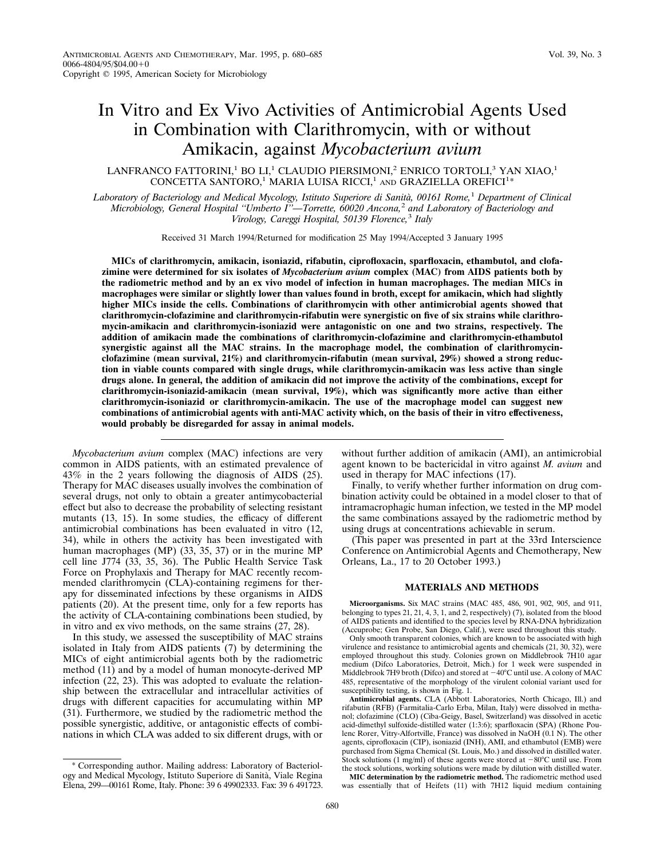# In Vitro and Ex Vivo Activities of Antimicrobial Agents Used in Combination with Clarithromycin, with or without Amikacin, against *Mycobacterium avium*

## LANFRANCO FATTORINI,<sup>1</sup> BO LI,<sup>1</sup> CLAUDIO PIERSIMONI,<sup>2</sup> ENRICO TORTOLI,<sup>3</sup> YAN XIAO,<sup>1</sup> CONCETTA SANTORO,<sup>1</sup> MARIA LUISA RICCI,<sup>1</sup> AND GRAZIELLA OREFICI<sup>1</sup>\*

*Laboratory of Bacteriology and Medical Mycology, Istituto Superiore di Sanita`, 00161 Rome,*<sup>1</sup> *Department of Clinical Microbiology, General Hospital ''Umberto I''—Torrette, 60020 Ancona,*<sup>2</sup> *and Laboratory of Bacteriology and Virology, Careggi Hospital, 50139 Florence,*<sup>3</sup> *Italy*

Received 31 March 1994/Returned for modification 25 May 1994/Accepted 3 January 1995

**MICs of clarithromycin, amikacin, isoniazid, rifabutin, ciprofloxacin, sparfloxacin, ethambutol, and clofazimine were determined for six isolates of** *Mycobacterium avium* **complex (MAC) from AIDS patients both by the radiometric method and by an ex vivo model of infection in human macrophages. The median MICs in macrophages were similar or slightly lower than values found in broth, except for amikacin, which had slightly higher MICs inside the cells. Combinations of clarithromycin with other antimicrobial agents showed that clarithromycin-clofazimine and clarithromycin-rifabutin were synergistic on five of six strains while clarithromycin-amikacin and clarithromycin-isoniazid were antagonistic on one and two strains, respectively. The addition of amikacin made the combinations of clarithromycin-clofazimine and clarithromycin-ethambutol synergistic against all the MAC strains. In the macrophage model, the combination of clarithromycinclofazimine (mean survival, 21%) and clarithromycin-rifabutin (mean survival, 29%) showed a strong reduction in viable counts compared with single drugs, while clarithromycin-amikacin was less active than single drugs alone. In general, the addition of amikacin did not improve the activity of the combinations, except for clarithromycin-isoniazid-amikacin (mean survival, 19%), which was significantly more active than either clarithromycin-isoniazid or clarithromycin-amikacin. The use of the macrophage model can suggest new combinations of antimicrobial agents with anti-MAC activity which, on the basis of their in vitro effectiveness, would probably be disregarded for assay in animal models.**

*Mycobacterium avium* complex (MAC) infections are very common in AIDS patients, with an estimated prevalence of 43% in the 2 years following the diagnosis of AIDS (25). Therapy for MAC diseases usually involves the combination of several drugs, not only to obtain a greater antimycobacterial effect but also to decrease the probability of selecting resistant mutants (13, 15). In some studies, the efficacy of different antimicrobial combinations has been evaluated in vitro (12, 34), while in others the activity has been investigated with human macrophages (MP) (33, 35, 37) or in the murine MP cell line J774 (33, 35, 36). The Public Health Service Task Force on Prophylaxis and Therapy for MAC recently recommended clarithromycin (CLA)-containing regimens for therapy for disseminated infections by these organisms in AIDS patients (20). At the present time, only for a few reports has the activity of CLA-containing combinations been studied, by in vitro and ex vivo methods, on the same strains (27, 28).

In this study, we assessed the susceptibility of MAC strains isolated in Italy from AIDS patients (7) by determining the MICs of eight antimicrobial agents both by the radiometric method (11) and by a model of human monocyte-derived MP infection (22, 23). This was adopted to evaluate the relationship between the extracellular and intracellular activities of drugs with different capacities for accumulating within MP (31). Furthermore, we studied by the radiometric method the possible synergistic, additive, or antagonistic effects of combinations in which CLA was added to six different drugs, with or

\* Corresponding author. Mailing address: Laboratory of Bacteriology and Medical Mycology, Istituto Superiore di Sanita`, Viale Regina Elena, 299—00161 Rome, Italy. Phone: 39 6 49902333. Fax: 39 6 491723. without further addition of amikacin (AMI), an antimicrobial agent known to be bactericidal in vitro against *M. avium* and used in therapy for MAC infections (17).

Finally, to verify whether further information on drug combination activity could be obtained in a model closer to that of intramacrophagic human infection, we tested in the MP model the same combinations assayed by the radiometric method by using drugs at concentrations achievable in serum.

(This paper was presented in part at the 33rd Interscience Conference on Antimicrobial Agents and Chemotherapy, New Orleans, La., 17 to 20 October 1993.)

#### **MATERIALS AND METHODS**

**Microorganisms.** Six MAC strains (MAC 485, 486, 901, 902, 905, and 911, belonging to types 21, 21, 4, 3, 1, and 2, respectively) (7), isolated from the blood of AIDS patients and identified to the species level by RNA-DNA hybridization (Accuprobe; Gen Probe, San Diego, Calif.), were used throughout this study.

Only smooth transparent colonies, which are known to be associated with high virulence and resistance to antimicrobial agents and chemicals (21, 30, 32), were employed throughout this study. Colonies grown on Middlebrook 7H10 agar medium (Difco Laboratories, Detroit, Mich.) for 1 week were suspended in Middlebrook 7H9 broth (Difco) and stored at  $-40^{\circ}$ C until use. A colony of MAC 485, representative of the morphology of the virulent colonial variant used for susceptibility testing, is shown in Fig. 1.

**Antimicrobial agents.** CLA (Abbott Laboratories, North Chicago, Ill.) and rifabutin (RFB) (Farmitalia-Carlo Erba, Milan, Italy) were dissolved in methanol; clofazimine (CLO) (Ciba-Geigy, Basel, Switzerland) was dissolved in acetic acid-dimethyl sulfoxide-distilled water (1:3:6); sparfloxacin (SPA) (Rhone Poulenc Rorer, Vitry-Alfortville, France) was dissolved in NaOH  $(0.1 N)$ . The other agents, ciprofloxacin (CIP), isoniazid (INH), AMI, and ethambutol (EMB) were purchased from Sigma Chemical (St. Louis, Mo.) and dissolved in distilled water. Stock solutions (1 mg/ml) of these agents were stored at  $-80^{\circ}$ C until use. From the stock solutions, working solutions were made by dilution with distilled water. **MIC determination by the radiometric method.** The radiometric method used

was essentially that of Heifets (11) with 7H12 liquid medium containing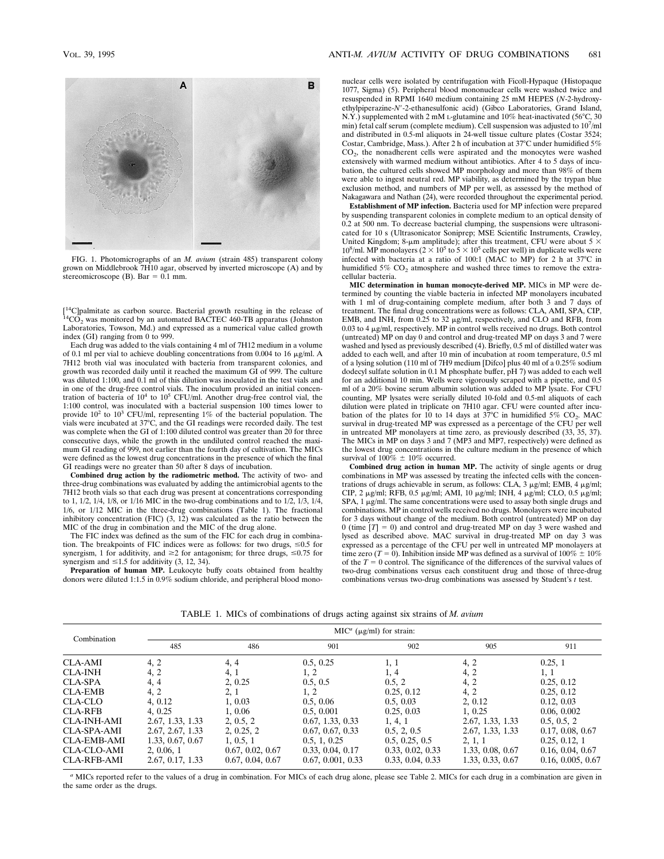

FIG. 1. Photomicrographs of an *M. avium* (strain 485) transparent colony grown on Middlebrook 7H10 agar, observed by inverted microscope (A) and by stereomicroscope (B). Bar =  $0.1$  mm.

[<sup>14</sup>C]palmitate as carbon source. Bacterial growth resulting in the release of  $^{14}CO<sub>2</sub>$  was monitored by an automated BACTEC 460-TB apparatus (Johnston Laboratories, Towson, Md.) and expressed as a numerical value called growth index (GI) ranging from 0 to 999.

Each drug was added to the vials containing 4 ml of 7H12 medium in a volume of 0.1 ml per vial to achieve doubling concentrations from 0.004 to 16  $\mu$ g/ml. A 7H12 broth vial was inoculated with bacteria from transparent colonies, and growth was recorded daily until it reached the maximum GI of 999. The culture was diluted 1:100, and 0.1 ml of this dilution was inoculated in the test vials and in one of the drug-free control vials. The inoculum provided an initial concentration of bacteria of  $10^4$  to  $10^5$  CFU/ml. Another drug-free control vial, the 1:100 control, was inoculated with a bacterial suspension 100 times lower to provide 10<sup>2</sup> to 103 CFU/ml, representing 1% of the bacterial population. The vials were incubated at 37°C, and the GI readings were recorded daily. The test was complete when the GI of 1:100 diluted control was greater than 20 for three consecutive days, while the growth in the undiluted control reached the maximum GI reading of 999, not earlier than the fourth day of cultivation. The MICs were defined as the lowest drug concentrations in the presence of which the final GI readings were no greater than 50 after 8 days of incubation.

**Combined drug action by the radiometric method.** The activity of two- and three-drug combinations was evaluated by adding the antimicrobial agents to the 7H12 broth vials so that each drug was present at concentrations corresponding to 1,  $1/2$ ,  $1/4$ ,  $1/8$ , or  $1/16$  MIC in the two-drug combinations and to  $1/2$ ,  $1/3$ ,  $1/4$ , 1/6, or 1/12 MIC in the three-drug combinations (Table 1). The fractional inhibitory concentration (FIC)  $(3, 12)$  was calculated as the ratio between the MIC of the drug in combination and the MIC of the drug alone.

The FIC index was defined as the sum of the FIC for each drug in combination. The breakpoints of FIC indices were as follows: for two drugs,  $\leq 0.5$  for synergism, 1 for additivity, and  $\geq$  2 for antagonism; for three drugs,  $\leq$ 0.75 for synergism and  $\leq 1.5$  for additivity (3, 12, 34).

Preparation of human MP. Leukocyte buffy coats obtained from healthy donors were diluted 1:1.5 in 0.9% sodium chloride, and peripheral blood mononuclear cells were isolated by centrifugation with Ficoll-Hypaque (Histopaque 1077, Sigma) (5). Peripheral blood mononuclear cells were washed twice and resuspended in RPMI 1640 medium containing 25 mM HEPES (*N*-2-hydroxyethylpiperazine-*N'*-2-ethanesulfonic acid) (Gibco Laboratories, Grand Island, N.Y.) supplemented with 2 mM L-glutamine and 10% heat-inactivated (56°C, 30 min) fetal calf serum (complete medium). Cell suspension was adjusted to 107/ml and distributed in 0.5-ml aliquots in 24-well tissue culture plates (Costar 3524; Costar, Cambridge, Mass.). After 2 h of incubation at  $37^{\circ}$ C under humidified  $5\%$  $CO<sub>2</sub>$ , the nonadherent cells were aspirated and the monocytes were washed extensively with warmed medium without antibiotics. After 4 to 5 days of incubation, the cultured cells showed MP morphology and more than 98% of them were able to ingest neutral red. MP viability, as determined by the trypan blue exclusion method, and numbers of MP per well, as assessed by the method of Nakagawara and Nathan (24), were recorded throughout the experimental period.

**Establishment of MP infection.** Bacteria used for MP infection were prepared by suspending transparent colonies in complete medium to an optical density of 0.2 at 500 nm. To decrease bacterial clumping, the suspensions were ultrasonicated for 10 s (Ultrasonicator Soniprep; MSE Scientific Instruments, Crawley, United Kingdom; 8-µm amplitude); after this treatment, CFU were about 5  $\times$  10<sup>5</sup> (o 10<sup>5</sup> to 5  $\times$  10<sup>5</sup> cells per well) in duplicate wells were infected with bacteria at a ratio of 100:1 (MAC to MP) for 2 h at  $37^{\circ}$ C in humidified  $5\%$  CO<sub>2</sub> atmosphere and washed three times to remove the extracellular bacteria.

**MIC determination in human monocyte-derived MP.** MICs in MP were determined by counting the viable bacteria in infected MP monolayers incubated with 1 ml of drug-containing complete medium, after both 3 and 7 days of treatment. The final drug concentrations were as follows: CLA, AMI, SPA, CIP, EMB, and INH, from  $0.25$  to 32  $\mu$ g/ml, respectively, and CLO and RFB, from  $0.03$  to 4  $\mu$ g/ml, respectively. MP in control wells received no drugs. Both control (untreated) MP on day 0 and control and drug-treated MP on days 3 and 7 were washed and lysed as previously described (4). Briefly, 0.5 ml of distilled water was added to each well, and after 10 min of incubation at room temperature, 0.5 ml of a lysing solution (110 ml of 7H9 medium [Difco] plus 40 ml of a 0.25% sodium dodecyl sulfate solution in 0.1 M phosphate buffer, pH 7) was added to each well for an additional 10 min. Wells were vigorously scraped with a pipette, and 0.5 ml of a 20% bovine serum albumin solution was added to MP lysate. For CFU counting, MP lysates were serially diluted 10-fold and 0.5-ml aliquots of each dilution were plated in triplicate on 7H10 agar. CFU were counted after incubation of the plates for 10 to 14 days at  $37^{\circ}$ C in humidified 5% CO<sub>2</sub>. MAC survival in drug-treated MP was expressed as a percentage of the CFU per well in untreated MP monolayers at time zero, as previously described (33, 35, 37). The MICs in MP on days 3 and 7 (MP3 and MP7, respectively) were defined as the lowest drug concentrations in the culture medium in the presence of which survival of  $100\% \pm 10\%$  occurred.

**Combined drug action in human MP.** The activity of single agents or drug combinations in MP was assessed by treating the infected cells with the concentrations of drugs achievable in serum, as follows: CLA, 3 µg/ml; EMB, 4 µg/ml; CIP, 2  $\mu$ g/ml; RFB, 0.5  $\mu$ g/ml; AMI, 10  $\mu$ g/ml; INH, 4  $\mu$ g/ml; CLO, 0.5  $\mu$ g/ml;  $SPA$ , 1  $\mu$ g/ml. The same concentrations were used to assay both single drugs and combinations. MP in control wells received no drugs. Monolayers were incubated for 3 days without change of the medium. Both control (untreated) MP on day 0 (time  $[T] = 0$ ) and control and drug-treated MP on day 3 were washed and lysed as described above. MAC survival in drug-treated MP on day 3 was expressed as a percentage of the CFU per well in untreated MP monolayers at time zero (*T* = 0). Inhibition inside MP was defined as a survival of  $100\% \pm 10\%$ of the  $T = 0$  control. The significance of the differences of the survival values of two-drug combinations versus each constituent drug and those of three-drug combinations versus two-drug combinations was assessed by Student's *t* test.

TABLE 1. MICs of combinations of drugs acting against six strains of *M. avium*

|                    | $MICa$ ( $\mu$ g/ml) for strain: |                  |                   |                  |                  |                   |  |  |  |  |  |  |
|--------------------|----------------------------------|------------------|-------------------|------------------|------------------|-------------------|--|--|--|--|--|--|
| Combination        | 485                              | 486              | 901               | 902              | 905              | 911               |  |  |  |  |  |  |
| <b>CLA-AMI</b>     | 4, 2                             | 4, 4             | 0.5, 0.25         | 1, 1             | 4, 2             | 0.25, 1           |  |  |  |  |  |  |
| <b>CLA-INH</b>     | 4, 2                             | 4, 1             | 1, 2              | 1, 4             | 4, 2             | 1, 1              |  |  |  |  |  |  |
| <b>CLA-SPA</b>     | 4, 4                             | 2, 0.25          | 0.5, 0.5          | 0.5.2            | 4, 2             | 0.25, 0.12        |  |  |  |  |  |  |
| <b>CLA-EMB</b>     | 4, 2                             | 2, 1             | 1, 2              | 0.25, 0.12       | 4, 2             | 0.25, 0.12        |  |  |  |  |  |  |
| CLA-CLO            | 4, 0.12                          | 1, 0.03          | 0.5, 0.06         | 0.5, 0.03        | 2, 0.12          | 0.12, 0.03        |  |  |  |  |  |  |
| <b>CLA-RFB</b>     | 4. 0.25                          | 1.0.06           | 0.5, 0.001        | 0.25, 0.03       | 1, 0.25          | 0.06, 0.002       |  |  |  |  |  |  |
| <b>CLA-INH-AMI</b> | 2.67, 1.33, 1.33                 | 2, 0.5, 2        | 0.67, 1.33, 0.33  | 1, 4, 1          | 2.67, 1.33, 1.33 | 0.5, 0.5, 2       |  |  |  |  |  |  |
| <b>CLA-SPA-AMI</b> | 2.67, 2.67, 1.33                 | 2, 0.25, 2       | 0.67, 0.67, 0.33  | 0.5, 2, 0.5      | 2.67, 1.33, 1.33 | 0.17, 0.08, 0.67  |  |  |  |  |  |  |
| <b>CLA-EMB-AMI</b> | 1.33, 0.67, 0.67                 | 1, 0.5, 1        | 0.5, 1, 0.25      | 0.5, 0.25, 0.5   | 2, 1, 1          | 0.25, 0.12, 1     |  |  |  |  |  |  |
| <b>CLA-CLO-AMI</b> | 2, 0.06, 1                       | 0.67, 0.02, 0.67 | 0.33, 0.04, 0.17  | 0.33, 0.02, 0.33 | 1.33, 0.08, 0.67 | 0.16, 0.04, 0.67  |  |  |  |  |  |  |
| <b>CLA-RFB-AMI</b> | 2.67, 0.17, 1.33                 | 0.67, 0.04, 0.67 | 0.67, 0.001, 0.33 | 0.33, 0.04, 0.33 | 1.33, 0.33, 0.67 | 0.16, 0.005, 0.67 |  |  |  |  |  |  |

*<sup>a</sup>* MICs reported refer to the values of a drug in combination. For MICs of each drug alone, please see Table 2. MICs for each drug in a combination are given in the same order as the drugs.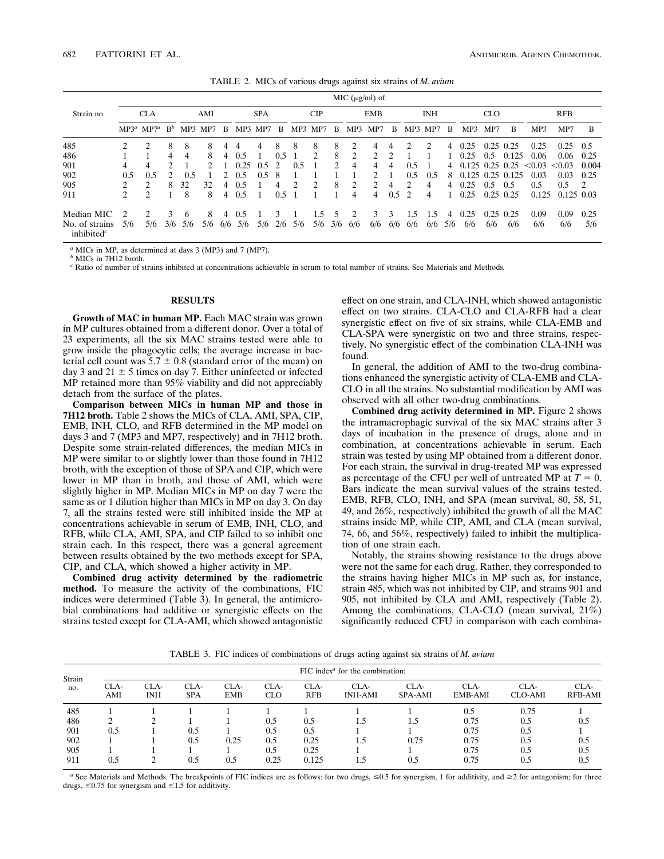TABLE 2. MICs of various drugs against six strains of *M. avium*

|                                          | MIC $(\mu g/ml)$ of: |                               |                |     |            |                |            |         |               |     |                |            |                |                               |                |               |     |                |                        |             |             |        |                |                |
|------------------------------------------|----------------------|-------------------------------|----------------|-----|------------|----------------|------------|---------|---------------|-----|----------------|------------|----------------|-------------------------------|----------------|---------------|-----|----------------|------------------------|-------------|-------------|--------|----------------|----------------|
| Strain no.                               | <b>CLA</b>           |                               | AMI            |     | <b>SPA</b> |                | <b>CIP</b> |         | <b>EMB</b>    |     |                | <b>INH</b> |                |                               | <b>CLO</b>     |               |     | <b>RFB</b>     |                        |             |             |        |                |                |
|                                          |                      | $MP3^a$ MP7 <sup>a</sup>      | $\mathbf{B}^b$ |     | MP3 MP7    | - B            |            | MP3 MP7 | B             |     | MP3 MP7        | В          | MP3            | MP7                           | В              | MP3           | MP7 | - B            | MP3                    | MP7         | В           | MP3    | MP7            | B              |
| 485                                      | 2                    |                               | 8              | 8   | 8          | 4              | 4          | 4       | 8             | 8   | 8              | 8          | 2              | 4                             | 4              | າ             |     | 4              | 0.25                   | $0.25$ 0.25 |             | 0.25   | 0.25           | 0.5            |
| 486                                      |                      |                               | 4              | 4   | 8          | 4              | 0.5        |         | 0.5           |     | $\mathfrak{D}$ | 8          | 2              | $\mathfrak{D}_{\mathfrak{p}}$ | $\mathfrak{D}$ |               |     |                | 0.25                   | 0.5         | 0.125       | 0.06   | 0.06           | 0.25           |
| 901                                      | 4                    | 4                             |                |     |            |                | 0.25       | 0.5     | $\mathcal{L}$ | 0.5 |                | 2          | 4              | 4                             | 4              | 0.5           |     |                | 4 0.125 0.25 0.25      |             |             | < 0.03 | < 0.03         | 0.004          |
| 902                                      | $0.5^{\circ}$        | 0.5                           |                | 0.5 |            |                | 0.5        | 0.5     | 8             |     |                |            |                | $\mathcal{L}$                 |                | 0.5           | 0.5 | 8              | $0.125$ $0.25$ $0.125$ |             |             | 0.03   | 0.03           | 0.25           |
| 905                                      |                      | $\mathfrak{D}$                | 8              | 32  | 32         | $\overline{4}$ | 0.5        |         | 4             |     | $\mathfrak{D}$ | 8          | 2              | $\mathfrak{D}_{\mathfrak{p}}$ | 4              | າ             | 4   |                | $4\quad 0.25$          | 0.5         | 0.5         | 0.5    | $0.5^{\circ}$  | $\overline{2}$ |
| 911                                      | $\mathfrak{D}$       | $\mathcal{D}_{\mathcal{L}}$   |                | 8   | 8          | 4              | 0.5        |         | 0.5           |     |                |            | 4              | 4                             | 0.5            | $\mathcal{L}$ | 4   |                | 0.25                   |             | $0.25$ 0.25 | 0.125  | $0.125$ $0.03$ |                |
| Median MIC                               | $\mathcal{D}$        | $\mathfrak{D}_{\mathfrak{p}}$ | 3              | 6   | 8          | 4              | 0.5        |         | 3             |     | 1.5            |            | $\mathfrak{D}$ | $\mathcal{F}$                 | 3              | 1.5           | 1.5 | $\overline{4}$ | 0.25                   | 0.25        | 0.25        | 0.09   | 0.09           | 0.25           |
| No. of strains<br>inhibited <sup>c</sup> | 5/6                  | 5/6                           | 3/6            | 5/6 | 5/6        | 6/6            | 5/6        | 5/6     | 2/6           | 5/6 | 5/6            | 3/6        | 6/6            | 6/6                           | 6/6            | 6/6           | 6/6 | 5/6            | 6/6                    | 6/6         | 6/6         | 6/6    | 6/6            | 5/6            |

*<sup>a</sup>* MICs in MP, as determined at days 3 (MP3) and 7 (MP7).

*<sup>b</sup>* MICs in 7H12 broth.

*<sup>c</sup>* Ratio of number of strains inhibited at concentrations achievable in serum to total number of strains. See Materials and Methods.

#### **RESULTS**

**Growth of MAC in human MP.** Each MAC strain was grown in MP cultures obtained from a different donor. Over a total of 23 experiments, all the six MAC strains tested were able to grow inside the phagocytic cells; the average increase in bacterial cell count was  $5.7 \pm 0.8$  (standard error of the mean) on day 3 and 21  $\pm$  5 times on day 7. Either uninfected or infected MP retained more than 95% viability and did not appreciably detach from the surface of the plates.

**Comparison between MICs in human MP and those in 7H12 broth.** Table 2 shows the MICs of CLA, AMI, SPA, CIP, EMB, INH, CLO, and RFB determined in the MP model on days 3 and 7 (MP3 and MP7, respectively) and in 7H12 broth. Despite some strain-related differences, the median MICs in MP were similar to or slightly lower than those found in 7H12 broth, with the exception of those of SPA and CIP, which were lower in MP than in broth, and those of AMI, which were slightly higher in MP. Median MICs in MP on day 7 were the same as or 1 dilution higher than MICs in MP on day 3. On day 7, all the strains tested were still inhibited inside the MP at concentrations achievable in serum of EMB, INH, CLO, and RFB, while CLA, AMI, SPA, and CIP failed to so inhibit one strain each. In this respect, there was a general agreement between results obtained by the two methods except for SPA, CIP, and CLA, which showed a higher activity in MP.

**Combined drug activity determined by the radiometric method.** To measure the activity of the combinations, FIC indices were determined (Table 3). In general, the antimicrobial combinations had additive or synergistic effects on the strains tested except for CLA-AMI, which showed antagonistic effect on one strain, and CLA-INH, which showed antagonistic effect on two strains. CLA-CLO and CLA-RFB had a clear synergistic effect on five of six strains, while CLA-EMB and CLA-SPA were synergistic on two and three strains, respectively. No synergistic effect of the combination CLA-INH was found.

In general, the addition of AMI to the two-drug combinations enhanced the synergistic activity of CLA-EMB and CLA-CLO in all the strains. No substantial modification by AMI was observed with all other two-drug combinations.

**Combined drug activity determined in MP.** Figure 2 shows the intramacrophagic survival of the six MAC strains after 3 days of incubation in the presence of drugs, alone and in combination, at concentrations achievable in serum. Each strain was tested by using MP obtained from a different donor. For each strain, the survival in drug-treated MP was expressed as percentage of the CFU per well of untreated MP at  $T = 0$ . Bars indicate the mean survival values of the strains tested. EMB, RFB, CLO, INH, and SPA (mean survival, 80, 58, 51, 49, and 26%, respectively) inhibited the growth of all the MAC strains inside MP, while CIP, AMI, and CLA (mean survival, 74, 66, and 56%, respectively) failed to inhibit the multiplication of one strain each.

Notably, the strains showing resistance to the drugs above were not the same for each drug. Rather, they corresponded to the strains having higher MICs in MP such as, for instance, strain 485, which was not inhibited by CIP, and strains 901 and 905, not inhibited by CLA and AMI, respectively (Table 2). Among the combinations, CLA-CLO (mean survival, 21%) significantly reduced CFU in comparison with each combina-

TABLE 3. FIC indices of combinations of drugs acting against six strains of *M. avium*

| Strain<br>no. | FIC index $a$ for the combination: |             |                    |                    |                    |                    |                        |                        |                 |                        |                        |  |  |  |  |
|---------------|------------------------------------|-------------|--------------------|--------------------|--------------------|--------------------|------------------------|------------------------|-----------------|------------------------|------------------------|--|--|--|--|
|               | CLA-<br>AMI                        | CLA-<br>INH | CLA-<br><b>SPA</b> | CLA-<br><b>EMB</b> | CLA-<br><b>CLO</b> | CLA-<br><b>RFB</b> | CLA-<br><b>INH-AMI</b> | CLA-<br><b>SPA-AMI</b> | CLA-<br>EMB-AMI | CLA-<br><b>CLO-AMI</b> | CLA-<br><b>RFB-AMI</b> |  |  |  |  |
| 485           |                                    |             |                    |                    |                    |                    |                        |                        | 0.5             | 0.75                   |                        |  |  |  |  |
| 486           |                                    |             |                    |                    | 0.5                | 0.5                | 1.5                    | 1.5                    | 0.75            | 0.5                    | 0.5                    |  |  |  |  |
| 901           | 0.5                                |             | 0.5                |                    | 0.5                | 0.5                |                        |                        | 0.75            | 0.5                    |                        |  |  |  |  |
| 902           |                                    |             | 0.5                | 0.25               | 0.5                | 0.25               | 1.5                    | 0.75                   | 0.75            | 0.5                    | 0.5                    |  |  |  |  |
| 905           |                                    |             |                    |                    | 0.5                | 0.25               |                        |                        | 0.75            | 0.5                    | 0.5                    |  |  |  |  |
| 911           | 0.5                                |             | 0.5                | 0.5                | 0.25               | 0.125              | 1.5                    | 0.5                    | 0.75            | 0.5                    | 0.5                    |  |  |  |  |

<sup>*a*</sup> See Materials and Methods. The breakpoints of FIC indices are as follows: for two drugs,  $\leq 0.5$  for synergism, 1 for additivity, and  $\geq 2$  for antagonism; for three drugs,  $\leq 0.75$  for synergism and  $\leq 1.5$  for additivity.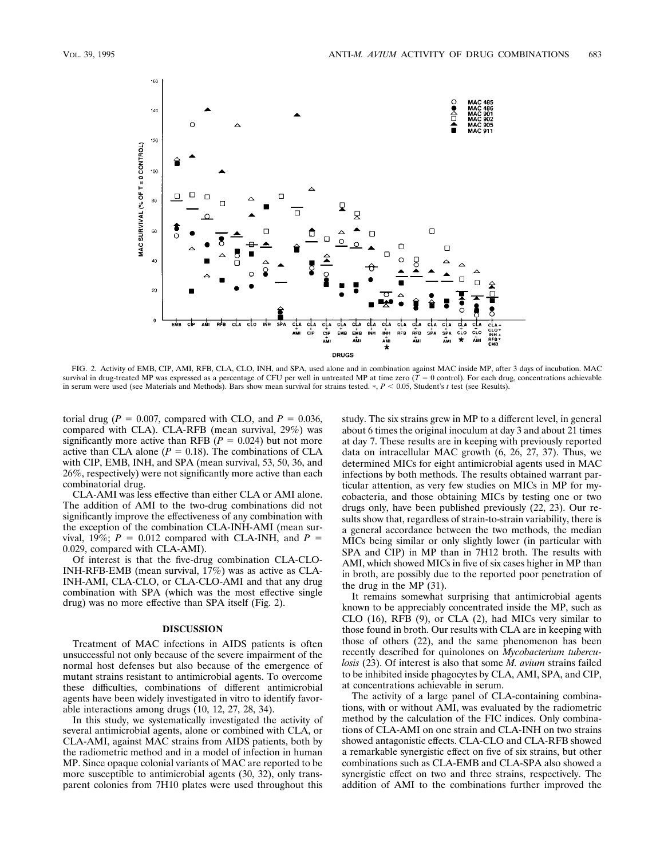

FIG. 2. Activity of EMB, CIP, AMI, RFB, CLA, CLO, INH, and SPA, used alone and in combination against MAC inside MP, after 3 days of incubation. MAC survival in drug-treated MP was expressed as a percentage of CFU per well in untreated MP at time zero  $(T = 0 \text{ control})$ . For each drug, concentrations achievable in serum were used (see Materials and Methods). Bars show mean survival for strains tested.  $P < 0.05$ , Student's *t* test (see Results).

torial drug ( $P = 0.007$ , compared with CLO, and  $P = 0.036$ , compared with CLA). CLA-RFB (mean survival, 29%) was significantly more active than RFB  $(P = 0.024)$  but not more active than CLA alone  $(P = 0.18)$ . The combinations of CLA with CIP, EMB, INH, and SPA (mean survival, 53, 50, 36, and 26%, respectively) were not significantly more active than each combinatorial drug.

CLA-AMI was less effective than either CLA or AMI alone. The addition of AMI to the two-drug combinations did not significantly improve the effectiveness of any combination with the exception of the combination CLA-INH-AMI (mean survival, 19%;  $P = 0.012$  compared with CLA-INH, and  $P =$ 0.029, compared with CLA-AMI).

Of interest is that the five-drug combination CLA-CLO-INH-RFB-EMB (mean survival, 17%) was as active as CLA-INH-AMI, CLA-CLO, or CLA-CLO-AMI and that any drug combination with SPA (which was the most effective single drug) was no more effective than SPA itself (Fig. 2).

#### **DISCUSSION**

Treatment of MAC infections in AIDS patients is often unsuccessful not only because of the severe impairment of the normal host defenses but also because of the emergence of mutant strains resistant to antimicrobial agents. To overcome these difficulties, combinations of different antimicrobial agents have been widely investigated in vitro to identify favorable interactions among drugs (10, 12, 27, 28, 34).

In this study, we systematically investigated the activity of several antimicrobial agents, alone or combined with CLA, or CLA-AMI, against MAC strains from AIDS patients, both by the radiometric method and in a model of infection in human MP. Since opaque colonial variants of MAC are reported to be more susceptible to antimicrobial agents (30, 32), only transparent colonies from 7H10 plates were used throughout this study. The six strains grew in MP to a different level, in general about 6 times the original inoculum at day 3 and about 21 times at day 7. These results are in keeping with previously reported data on intracellular MAC growth (6, 26, 27, 37). Thus, we determined MICs for eight antimicrobial agents used in MAC infections by both methods. The results obtained warrant particular attention, as very few studies on MICs in MP for mycobacteria, and those obtaining MICs by testing one or two drugs only, have been published previously (22, 23). Our results show that, regardless of strain-to-strain variability, there is a general accordance between the two methods, the median MICs being similar or only slightly lower (in particular with SPA and CIP) in MP than in 7H12 broth. The results with AMI, which showed MICs in five of six cases higher in MP than in broth, are possibly due to the reported poor penetration of the drug in the MP (31).

It remains somewhat surprising that antimicrobial agents known to be appreciably concentrated inside the MP, such as CLO (16), RFB (9), or CLA (2), had MICs very similar to those found in broth. Our results with CLA are in keeping with those of others (22), and the same phenomenon has been recently described for quinolones on *Mycobacterium tuberculosis* (23). Of interest is also that some *M. avium* strains failed to be inhibited inside phagocytes by CLA, AMI, SPA, and CIP, at concentrations achievable in serum.

The activity of a large panel of CLA-containing combinations, with or without AMI, was evaluated by the radiometric method by the calculation of the FIC indices. Only combinations of CLA-AMI on one strain and CLA-INH on two strains showed antagonistic effects. CLA-CLO and CLA-RFB showed a remarkable synergistic effect on five of six strains, but other combinations such as CLA-EMB and CLA-SPA also showed a synergistic effect on two and three strains, respectively. The addition of AMI to the combinations further improved the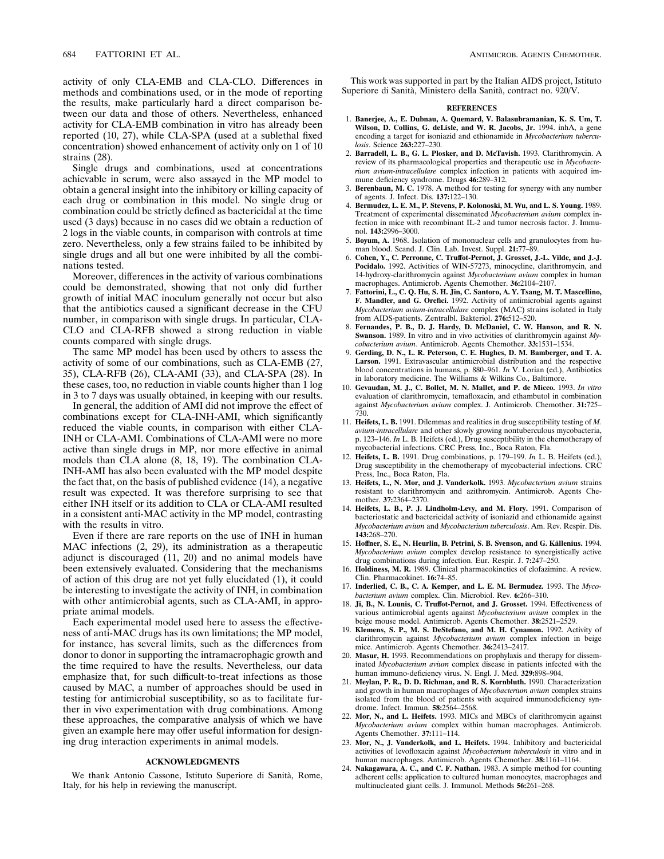activity of only CLA-EMB and CLA-CLO. Differences in methods and combinations used, or in the mode of reporting the results, make particularly hard a direct comparison between our data and those of others. Nevertheless, enhanced activity for CLA-EMB combination in vitro has already been reported (10, 27), while CLA-SPA (used at a sublethal fixed concentration) showed enhancement of activity only on 1 of 10 strains (28).

Single drugs and combinations, used at concentrations achievable in serum, were also assayed in the MP model to obtain a general insight into the inhibitory or killing capacity of each drug or combination in this model. No single drug or combination could be strictly defined as bactericidal at the time used (3 days) because in no cases did we obtain a reduction of 2 logs in the viable counts, in comparison with controls at time zero. Nevertheless, only a few strains failed to be inhibited by single drugs and all but one were inhibited by all the combinations tested.

Moreover, differences in the activity of various combinations could be demonstrated, showing that not only did further growth of initial MAC inoculum generally not occur but also that the antibiotics caused a significant decrease in the CFU number, in comparison with single drugs. In particular, CLA-CLO and CLA-RFB showed a strong reduction in viable counts compared with single drugs.

The same MP model has been used by others to assess the activity of some of our combinations, such as CLA-EMB (27, 35), CLA-RFB (26), CLA-AMI (33), and CLA-SPA (28). In these cases, too, no reduction in viable counts higher than 1 log in 3 to 7 days was usually obtained, in keeping with our results.

In general, the addition of AMI did not improve the effect of combinations except for CLA-INH-AMI, which significantly reduced the viable counts, in comparison with either CLA-INH or CLA-AMI. Combinations of CLA-AMI were no more active than single drugs in MP, nor more effective in animal models than CLA alone (8, 18, 19). The combination CLA-INH-AMI has also been evaluated with the MP model despite the fact that, on the basis of published evidence (14), a negative result was expected. It was therefore surprising to see that either INH itself or its addition to CLA or CLA-AMI resulted in a consistent anti-MAC activity in the MP model, contrasting with the results in vitro.

Even if there are rare reports on the use of INH in human MAC infections  $(2, 29)$ , its administration as a therapeutic adjunct is discouraged (11, 20) and no animal models have been extensively evaluated. Considering that the mechanisms of action of this drug are not yet fully elucidated (1), it could be interesting to investigate the activity of INH, in combination with other antimicrobial agents, such as CLA-AMI, in appropriate animal models.

Each experimental model used here to assess the effectiveness of anti-MAC drugs has its own limitations; the MP model, for instance, has several limits, such as the differences from donor to donor in supporting the intramacrophagic growth and the time required to have the results. Nevertheless, our data emphasize that, for such difficult-to-treat infections as those caused by MAC, a number of approaches should be used in testing for antimicrobial susceptibility, so as to facilitate further in vivo experimentation with drug combinations. Among these approaches, the comparative analysis of which we have given an example here may offer useful information for designing drug interaction experiments in animal models.

### **ACKNOWLEDGMENTS**

We thank Antonio Cassone, Istituto Superiore di Sanita`, Rome, Italy, for his help in reviewing the manuscript.

This work was supported in part by the Italian AIDS project, Istituto Superiore di Sanita`, Ministero della Sanita`, contract no. 920/V.

#### **REFERENCES**

- 1. **Banerjee, A., E. Dubnau, A. Quemard, V. Balasubramanian, K. S. Um, T. Wilson, D. Collins, G. deLisle, and W. R. Jacobs, Jr.** 1994. inhA, a gene encoding a target for isoniazid and ethionamide in *Mycobacterium tuberculosis*. Science **263:**227–230.
- 2. **Barradell, L. B., G. L. Plosker, and D. McTavish.** 1993. Clarithromycin. A review of its pharmacological properties and therapeutic use in *Mycobacterium avium-intracellulare* complex infection in patients with acquired immune deficiency syndrome. Drugs **46:**289–312.
- 3. **Berenbaun, M. C.** 1978. A method for testing for synergy with any number of agents. J. Infect. Dis. **137:**122–130.
- 4. **Bermudez, L. E. M., P. Stevens, P. Kolonoski, M. Wu, and L. S. Young.** 1989. Treatment of experimental disseminated *Mycobacterium avium* complex infection in mice with recombinant IL-2 and tumor necrosis factor. J. Immunol. **143:**2996–3000.
- 5. **Boyum, A.** 1968. Isolation of mononuclear cells and granulocytes from human blood. Scand. J. Clin. Lab. Invest. Suppl. **21:**77–89.
- 6. **Cohen, Y., C. Perronne, C. Truffot-Pernot, J. Grosset, J.-L. Vilde, and J.-J. Pocidalo.** 1992. Activities of WIN-57273, minocycline, clarithromycin, and 14-hydroxy-clarithromycin against *Mycobacterium avium* complex in human macrophages. Antimicrob. Agents Chemother. **36:**2104–2107.
- 7. **Fattorini, L., C. Q. Hu, S. H. Jin, C. Santoro, A. Y. Tsang, M. T. Mascellino, F. Mandler, and G. Orefici.** 1992. Activity of antimicrobial agents against *Mycobacterium avium-intracellulare* complex (MAC) strains isolated in Italy from AIDS-patients. Zentralbl. Bakteriol. **276:**512–520.
- 8. **Fernandes, P. B., D. J. Hardy, D. McDaniel, C. W. Hanson, and R. N. Swanson.** 1989. In vitro and in vivo activities of clarithromycin against *Mycobacterium avium*. Antimicrob. Agents Chemother. **33:**1531–1534.
- 9. **Gerding, D. N., L. R. Peterson, C. E. Hughes, D. M. Bamberger, and T. A. Larson.** 1991. Extravascular antimicrobial distribution and the respective blood concentrations in humans, p. 880–961. *In* V. Lorian (ed.), Antibiotics in laboratory medicine. The Williams & Wilkins Co., Baltimore.
- 10. **Gevaudan, M. J., C. Bollet, M. N. Mallet, and P. de Micco.** 1993. *In vitro* evaluation of clarithromycin, temafloxacin, and ethambutol in combination against *Mycobacterium avium* complex. J. Antimicrob. Chemother. **31:**725– 730.
- 11. **Heifets, L. B.** 1991. Dilemmas and realities in drug susceptibility testing of *M. avium-intracellulare* and other slowly growing nontuberculous mycobacteria, p. 123–146. *In* L. B. Heifets (ed.), Drug susceptibility in the chemotherapy of mycobacterial infections. CRC Press, Inc., Boca Raton, Fla.
- 12. **Heifets, L. B.** 1991. Drug combinations, p. 179–199. *In* L. B. Heifets (ed.), Drug susceptibility in the chemotherapy of mycobacterial infections. CRC Press, Inc., Boca Raton, Fla.
- 13. **Heifets, L., N. Mor, and J. Vanderkolk.** 1993. *Mycobacterium avium* strains resistant to clarithromycin and azithromycin. Antimicrob. Agents Chemother. **37:**2364–2370.
- 14. **Heifets, L. B., P. J. Lindholm-Levy, and M. Flory.** 1991. Comparison of bacteriostatic and bactericidal activity of isoniazid and ethionamide against *Mycobacterium avium* and *Mycobacterium tuberculosis*. Am. Rev. Respir. Dis. **143:**268–270.
- 15. Hoffner, S. E., N. Heurlin, B. Petrini, S. B. Svenson, and G. Källenius. 1994. *Mycobacterium avium* complex develop resistance to synergistically active drug combinations during infection. Eur. Respir. J. **7:**247–250.
- 16. **Holdiness, M. R.** 1989. Clinical pharmacokinetics of clofazimine. A review. Clin. Pharmacokinet. **16:**74–85.
- 17. **Inderlied, C. B., C. A. Kemper, and L. E. M. Bermudez.** 1993. The *Mycobacterium avium* complex. Clin. Microbiol. Rev. **6:**266–310.
- 18. **Ji, B., N. Lounis, C. Truffot-Pernot, and J. Grosset.** 1994. Effectiveness of various antimicrobial agents against *Mycobacterium avium* complex in the beige mouse model. Antimicrob. Agents Chemother. **38:**2521–2529.
- 19. **Klemens, S. P., M. S. DeStefano, and M. H. Cynamon.** 1992. Activity of clarithromycin against *Mycobacterium avium* complex infection in beige mice. Antimicrob. Agents Chemother. **36:**2413–2417.
- 20. **Masur, H.** 1993. Recommendations on prophylaxis and therapy for disseminated *Mycobacterium avium* complex disease in patients infected with the human immuno-deficiency virus. N. Engl. J. Med. **329:**898–904.
- 21. **Meylan, P. R., D. D. Richman, and R. S. Kornbluth.** 1990. Characterization and growth in human macrophages of *Mycobacterium avium* complex strains isolated from the blood of patients with acquired immunodeficiency syn-drome. Infect. Immun. **58:**2564–2568.
- 22. **Mor, N., and L. Heifets.** 1993. MICs and MBCs of clarithromycin against *Mycobacterium avium* complex within human macrophages. Antimicrob. Agents Chemother. **37:**111–114.
- 23. **Mor, N., J. Vanderkolk, and L. Heifets.** 1994. Inhibitory and bactericidal activities of levofloxacin against *Mycobacterium tuberculosis* in vitro and in human macrophages. Antimicrob. Agents Chemother. **38:**1161–1164.
- 24. **Nakagawara, A. C., and C. F. Nathan.** 1983. A simple method for counting adherent cells: application to cultured human monocytes, macrophages and multinucleated giant cells. J. Immunol. Methods **56:**261–268.